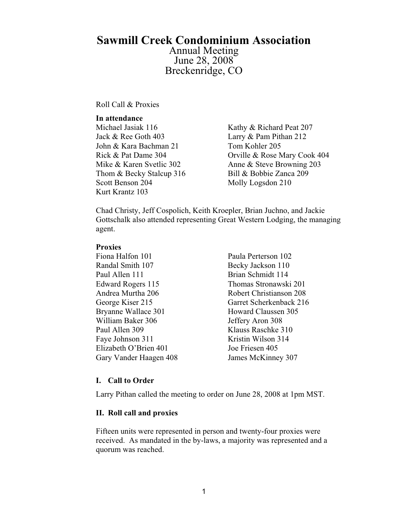# **Sawmill Creek Condominium Association**

Annual Meeting June 28, 2008 Breckenridge, CO

Roll Call & Proxies

#### **In attendance**

Michael Jasiak 116 Kathy & Richard Peat 207 Jack & Ree Goth 403 Larry & Pam Pithan 212 John & Kara Bachman 21 Tom Kohler 205 Thom & Becky Stalcup 316 Bill & Bobbie Zanca 209 Scott Benson 204 Molly Logsdon 210 Kurt Krantz 103

Rick & Pat Dame 304 Orville & Rose Mary Cook 404 Mike & Karen Svetlic 302 Anne & Steve Browning 203

Chad Christy, Jeff Cospolich, Keith Kroepler, Brian Juchno, and Jackie Gottschalk also attended representing Great Western Lodging, the managing agent.

#### **Proxies**

- Fiona Halfon 101 Paula Perterson 102 Randal Smith 107 Becky Jackson 110 Paul Allen 111 Brian Schmidt 114 Bryanne Wallace 301 Howard Claussen 305 William Baker 306 Jeffery Aron 308 Paul Allen 309 Klauss Raschke 310 Faye Johnson 311 Kristin Wilson 314 Elizabeth O'Brien 401 Joe Friesen 405 Gary Vander Haagen 408 James McKinney 307
- Edward Rogers 115 Thomas Stronawski 201 Andrea Murtha 206 Robert Christianson 208 George Kiser 215 Garret Scherkenback 216

#### **I. Call to Order**

Larry Pithan called the meeting to order on June 28, 2008 at 1pm MST.

#### **II. Roll call and proxies**

Fifteen units were represented in person and twenty-four proxies were received. As mandated in the by-laws, a majority was represented and a quorum was reached.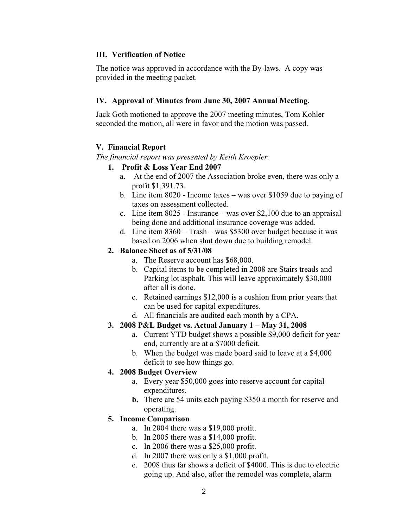#### **III. Verification of Notice**

The notice was approved in accordance with the By-laws. A copy was provided in the meeting packet.

#### **IV. Approval of Minutes from June 30, 2007 Annual Meeting.**

Jack Goth motioned to approve the 2007 meeting minutes, Tom Kohler seconded the motion, all were in favor and the motion was passed.

# **V. Financial Report**

*The financial report was presented by Keith Kroepler.* 

- **1. Profit & Loss Year End 2007**
	- a. At the end of 2007 the Association broke even, there was only a profit \$1,391.73.
	- b. Line item 8020 Income taxes was over \$1059 due to paying of taxes on assessment collected.
	- c. Line item 8025 Insurance was over \$2,100 due to an appraisal being done and additional insurance coverage was added.
	- d. Line item 8360 Trash was \$5300 over budget because it was based on 2006 when shut down due to building remodel.

#### **2. Balance Sheet as of 5/31/08**

- a. The Reserve account has \$68,000.
- b. Capital items to be completed in 2008 are Stairs treads and Parking lot asphalt. This will leave approximately \$30,000 after all is done.
- c. Retained earnings \$12,000 is a cushion from prior years that can be used for capital expenditures.
- d. All financials are audited each month by a CPA.

# **3. 2008 P&L Budget vs. Actual January 1 – May 31, 2008**

- a. Current YTD budget shows a possible \$9,000 deficit for year end, currently are at a \$7000 deficit.
- b. When the budget was made board said to leave at a \$4,000 deficit to see how things go.

# **4. 2008 Budget Overview**

- a. Every year \$50,000 goes into reserve account for capital expenditures.
- **b.** There are 54 units each paying \$350 a month for reserve and operating.

# **5. Income Comparison**

- a. In 2004 there was a \$19,000 profit.
- b. In 2005 there was a \$14,000 profit.
- c. In 2006 there was a \$25,000 profit.
- d. In 2007 there was only a \$1,000 profit.
- e. 2008 thus far shows a deficit of \$4000. This is due to electric going up. And also, after the remodel was complete, alarm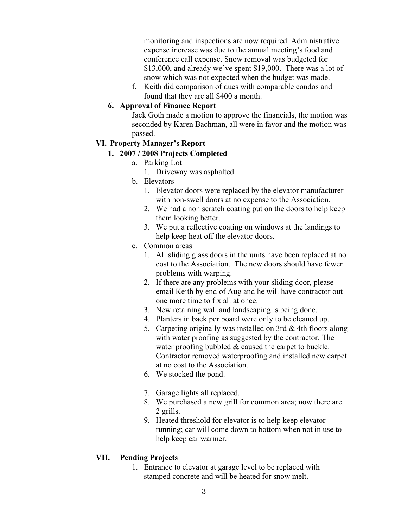monitoring and inspections are now required. Administrative expense increase was due to the annual meeting's food and conference call expense. Snow removal was budgeted for \$13,000, and already we've spent \$19,000. There was a lot of snow which was not expected when the budget was made.

f. Keith did comparison of dues with comparable condos and found that they are all \$400 a month.

#### **6. Approval of Finance Report**

Jack Goth made a motion to approve the financials, the motion was seconded by Karen Bachman, all were in favor and the motion was passed.

#### **VI. Property Manager's Report**

# **1. 2007 / 2008 Projects Completed**

- a. Parking Lot
	- 1. Driveway was asphalted.
- b. Elevators
	- 1. Elevator doors were replaced by the elevator manufacturer with non-swell doors at no expense to the Association.
	- 2. We had a non scratch coating put on the doors to help keep them looking better.
	- 3. We put a reflective coating on windows at the landings to help keep heat off the elevator doors.
- c. Common areas
	- 1. All sliding glass doors in the units have been replaced at no cost to the Association. The new doors should have fewer problems with warping.
	- 2. If there are any problems with your sliding door, please email Keith by end of Aug and he will have contractor out one more time to fix all at once.
	- 3. New retaining wall and landscaping is being done.
	- 4. Planters in back per board were only to be cleaned up.
	- 5. Carpeting originally was installed on 3rd & 4th floors along with water proofing as suggested by the contractor. The water proofing bubbled & caused the carpet to buckle. Contractor removed waterproofing and installed new carpet at no cost to the Association.
	- 6. We stocked the pond.
	- 7. Garage lights all replaced.
	- 8. We purchased a new grill for common area; now there are 2 grills.
	- 9. Heated threshold for elevator is to help keep elevator running; car will come down to bottom when not in use to help keep car warmer.

# **VII. Pending Projects**

1. Entrance to elevator at garage level to be replaced with stamped concrete and will be heated for snow melt.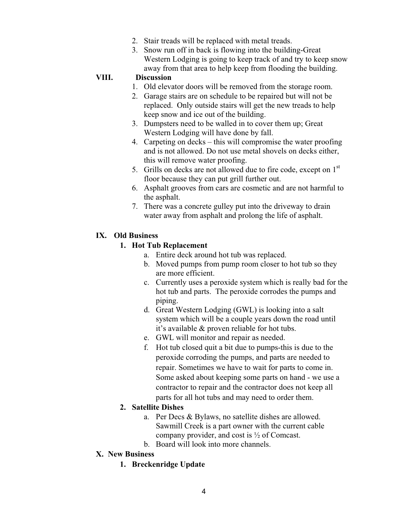- 2. Stair treads will be replaced with metal treads.
- 3. Snow run off in back is flowing into the building-Great Western Lodging is going to keep track of and try to keep snow away from that area to help keep from flooding the building.

#### **VIII. Discussion**

- 1. Old elevator doors will be removed from the storage room.
- 2. Garage stairs are on schedule to be repaired but will not be replaced. Only outside stairs will get the new treads to help keep snow and ice out of the building.
- 3. Dumpsters need to be walled in to cover them up; Great Western Lodging will have done by fall.
- 4. Carpeting on decks this will compromise the water proofing and is not allowed. Do not use metal shovels on decks either, this will remove water proofing.
- 5. Grills on decks are not allowed due to fire code, except on  $1<sup>st</sup>$ floor because they can put grill further out.
- 6. Asphalt grooves from cars are cosmetic and are not harmful to the asphalt.
- 7. There was a concrete gulley put into the driveway to drain water away from asphalt and prolong the life of asphalt.

#### **IX. Old Business**

#### **1. Hot Tub Replacement**

- a. Entire deck around hot tub was replaced.
- b. Moved pumps from pump room closer to hot tub so they are more efficient.
- c. Currently uses a peroxide system which is really bad for the hot tub and parts. The peroxide corrodes the pumps and piping.
- d. Great Western Lodging (GWL) is looking into a salt system which will be a couple years down the road until it's available & proven reliable for hot tubs.
- e. GWL will monitor and repair as needed.
- f. Hot tub closed quit a bit due to pumps-this is due to the peroxide corroding the pumps, and parts are needed to repair. Sometimes we have to wait for parts to come in. Some asked about keeping some parts on hand - we use a contractor to repair and the contractor does not keep all parts for all hot tubs and may need to order them.

#### **2. Satellite Dishes**

- a. Per Decs & Bylaws, no satellite dishes are allowed. Sawmill Creek is a part owner with the current cable company provider, and cost is ½ of Comcast.
- b. Board will look into more channels.
- **X. New Business** 
	- **1. Breckenridge Update**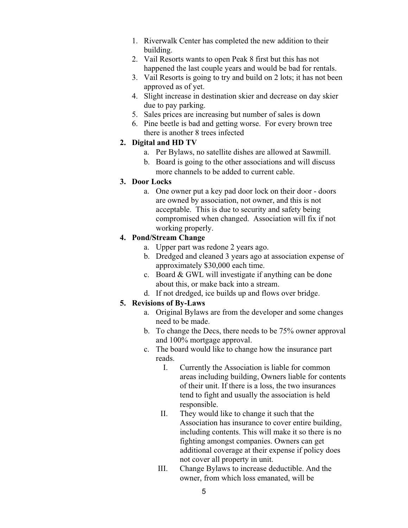- 1. Riverwalk Center has completed the new addition to their building.
- 2. Vail Resorts wants to open Peak 8 first but this has not happened the last couple years and would be bad for rentals.
- 3. Vail Resorts is going to try and build on 2 lots; it has not been approved as of yet.
- 4. Slight increase in destination skier and decrease on day skier due to pay parking.
- 5. Sales prices are increasing but number of sales is down
- 6. Pine beetle is bad and getting worse. For every brown tree there is another 8 trees infected

# **2. Digital and HD TV**

- a. Per Bylaws, no satellite dishes are allowed at Sawmill.
- b. Board is going to the other associations and will discuss more channels to be added to current cable.

# **3. Door Locks**

a. One owner put a key pad door lock on their door - doors are owned by association, not owner, and this is not acceptable. This is due to security and safety being compromised when changed. Association will fix if not working properly.

# **4. Pond/Stream Change**

- a. Upper part was redone 2 years ago.
- b. Dredged and cleaned 3 years ago at association expense of approximately \$30,000 each time.
- c. Board & GWL will investigate if anything can be done about this, or make back into a stream.
- d. If not dredged, ice builds up and flows over bridge.

# **5. Revisions of By-Laws**

- a. Original Bylaws are from the developer and some changes need to be made.
- b. To change the Decs, there needs to be 75% owner approval and 100% mortgage approval.
- c. The board would like to change how the insurance part reads.
	- I. Currently the Association is liable for common areas including building, Owners liable for contents of their unit. If there is a loss, the two insurances tend to fight and usually the association is held responsible.
	- II. They would like to change it such that the Association has insurance to cover entire building, including contents. This will make it so there is no fighting amongst companies. Owners can get additional coverage at their expense if policy does not cover all property in unit.
	- III. Change Bylaws to increase deductible. And the owner, from which loss emanated, will be